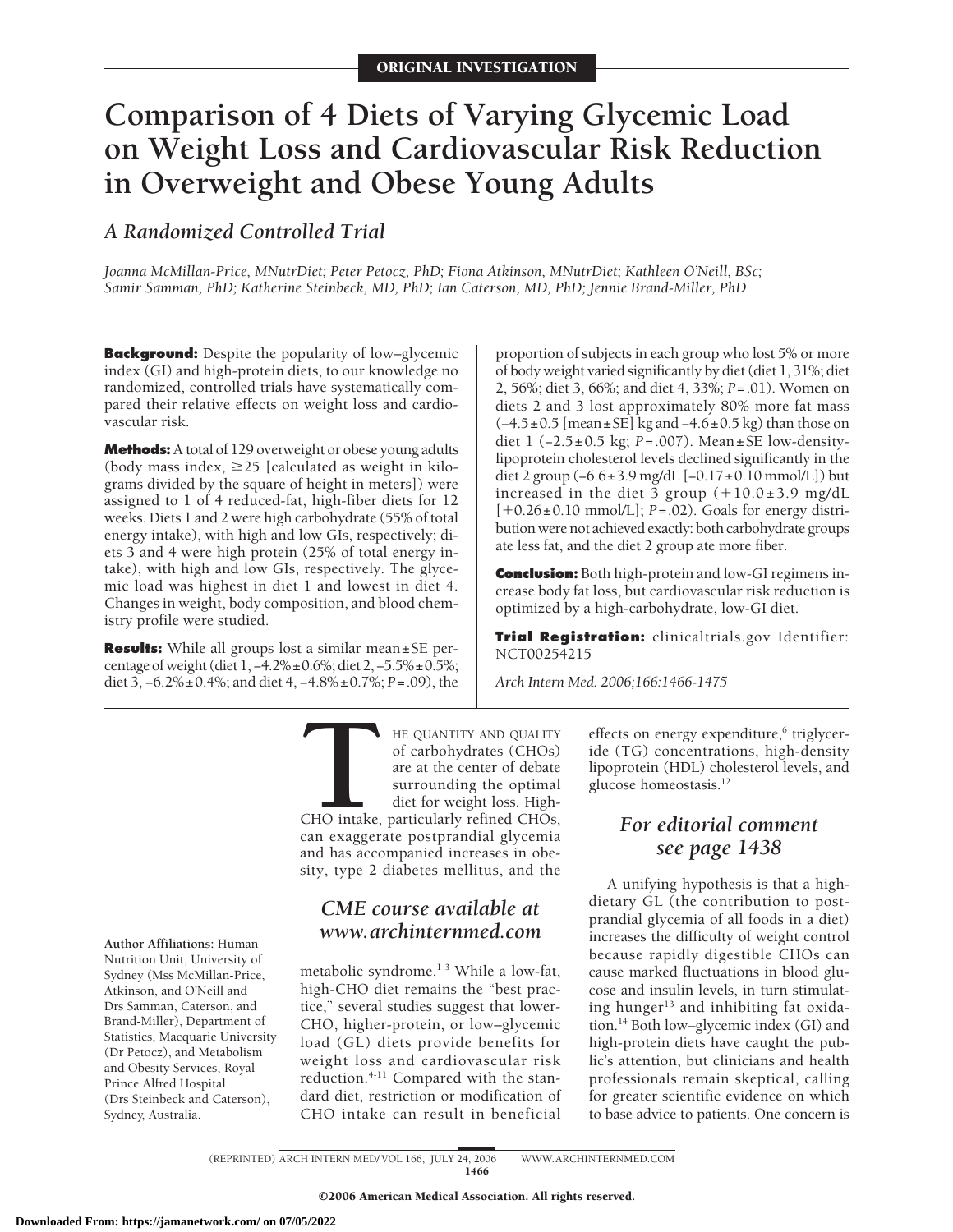# **Comparison of 4 Diets of Varying Glycemic Load on Weight Loss and Cardiovascular Risk Reduction in Overweight and Obese Young Adults**

# *A Randomized Controlled Trial*

*Joanna McMillan-Price, MNutrDiet; Peter Petocz, PhD; Fiona Atkinson, MNutrDiet; Kathleen O'Neill, BSc; Samir Samman, PhD; Katherine Steinbeck, MD, PhD; Ian Caterson, MD, PhD; Jennie Brand-Miller, PhD*

**Background:** Despite the popularity of low–glycemic index (GI) and high-protein diets, to our knowledge no randomized, controlled trials have systematically compared their relative effects on weight loss and cardiovascular risk.

**Methods:**A total of 129 overweight or obese young adults (body mass index,  $\geq$  25 [calculated as weight in kilograms divided by the square of height in meters]) were assigned to 1 of 4 reduced-fat, high-fiber diets for 12 weeks. Diets 1 and 2 were high carbohydrate (55% of total energy intake), with high and low GIs, respectively; diets 3 and 4 were high protein (25% of total energy intake), with high and low GIs, respectively. The glycemic load was highest in diet 1 and lowest in diet 4. Changes in weight, body composition, and blood chemistry profile were studied.

**Results:** While all groups lost a similar mean±SE percentage of weight (diet 1, −4.2%±0.6%; diet 2, −5.5%±0.5%; diet 3, −6.2%±0.4%; and diet 4, −4.8%±0.7%; *P*=.09), the

proportion of subjects in each group who lost 5% or more of body weight varied significantly by diet (diet 1, 31%; diet 2, 56%; diet 3, 66%; and diet 4, 33%; *P*=.01). Women on diets 2 and 3 lost approximately 80% more fat mass  $(-4.5\pm0.5$  [mean $\pm$ SE] kg and  $-4.6\pm0.5$  kg) than those on diet 1 (−2.5±0.5 kg; *P*=.007). Mean±SE low-densitylipoprotein cholesterol levels declined significantly in the diet 2 group (−6.6±3.9 mg/dL [−0.17±0.10 mmol/L]) but increased in the diet 3 group  $(+10.0\pm3.9$  mg/dL [-0.26±0.10 mmol/L]; *P*=.02). Goals for energy distribution were not achieved exactly: both carbohydrate groups ate less fat, and the diet 2 group ate more fiber.

**Conclusion:** Both high-protein and low-GI regimens increase body fat loss, but cardiovascular risk reduction is optimized by a high-carbohydrate, low-GI diet.

**Trial Registration:** clinicaltrials.gov Identifier: NCT00254215

*Arch Intern Med. 2006;166:1466-1475*

**THE QUANTITY AND QUALITY**<br>
of carbohydrates (CHOs)<br>
are at the center of debate<br>
surrounding the optimal<br>
diet for weight loss. High-<br>
CHO intake, particularly refined CHOs,<br>
can exaggerate postprandial glycemia of carbohydrates (CHOs) are at the center of debate surrounding the optimal diet for weight loss. High-CHO intake, particularly refined CHOs, can exaggerate postprandial glycemia and has accompanied increases in obesity, type 2 diabetes mellitus, and the

# *CME course available at www.archinternmed.com*

metabolic syndrome.1-3 While a low-fat, high-CHO diet remains the "best practice," several studies suggest that lower-CHO, higher-protein, or low–glycemic load (GL) diets provide benefits for weight loss and cardiovascular risk reduction.4-11 Compared with the standard diet, restriction or modification of CHO intake can result in beneficial

effects on energy expenditure,<sup>6</sup> triglyceride (TG) concentrations, high-density lipoprotein (HDL) cholesterol levels, and glucose homeostasis.12

# *For editorial comment see page 1438*

A unifying hypothesis is that a highdietary GL (the contribution to postprandial glycemia of all foods in a diet) increases the difficulty of weight control because rapidly digestible CHOs can cause marked fluctuations in blood glucose and insulin levels, in turn stimulating hunger<sup>13</sup> and inhibiting fat oxidation.14 Both low–glycemic index (GI) and high-protein diets have caught the public's attention, but clinicians and health professionals remain skeptical, calling for greater scientific evidence on which to base advice to patients. One concern is

**Author Affiliations:** Human Nutrition Unit, University of Sydney (Mss McMillan-Price, Atkinson, and O'Neill and Drs Samman, Caterson, and Brand-Miller), Department of Statistics, Macquarie University (Dr Petocz), and Metabolism and Obesity Services, Royal Prince Alfred Hospital (Drs Steinbeck and Caterson), Sydney, Australia.

(REPRINTED) ARCH INTERN MED/ VOL 166, JULY 24, 2006 WWW.ARCHINTERNMED.COM

1466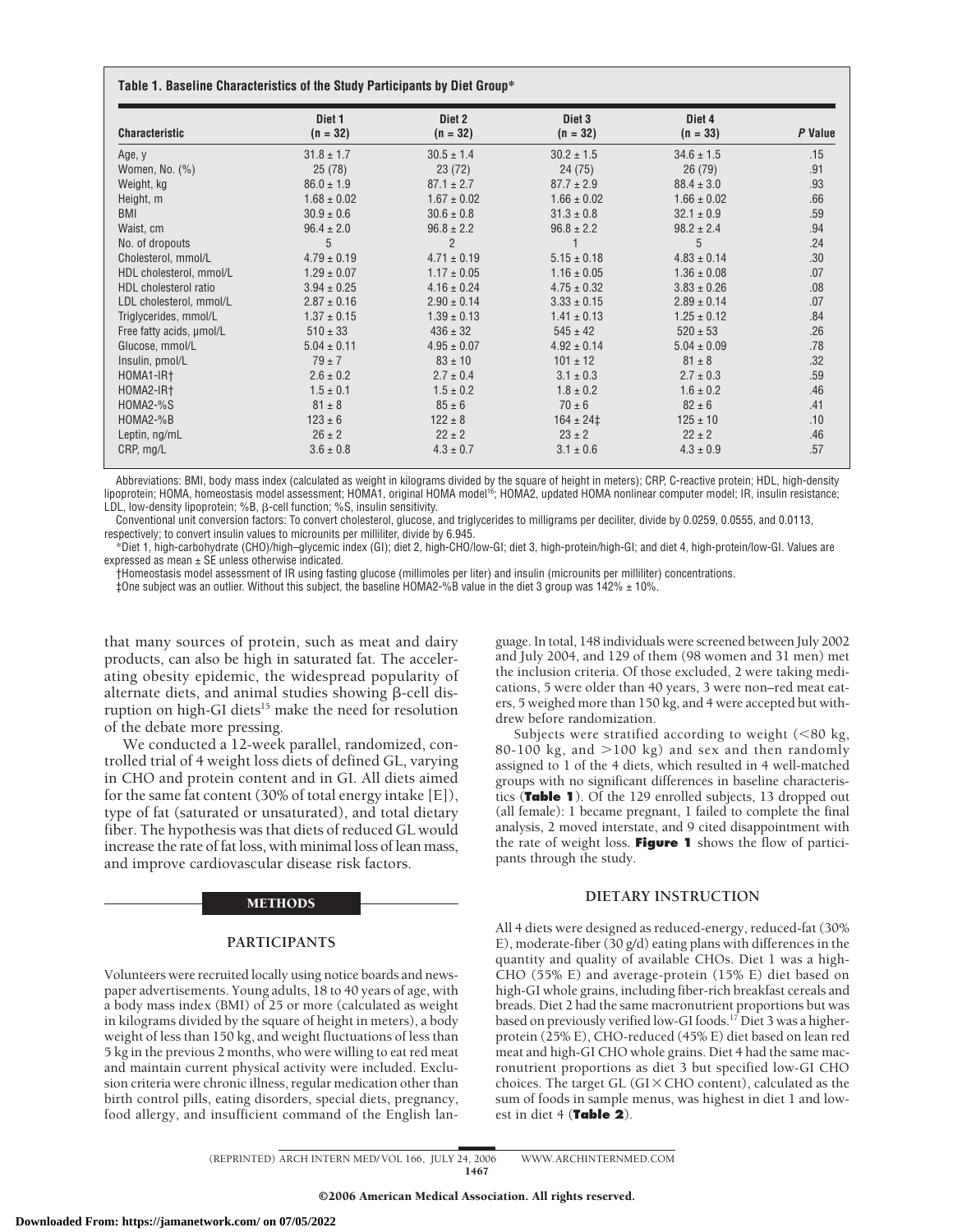|  |  | Table 1. Baseline Characteristics of the Study Participants by Diet Group* |  |  |  |  |  |
|--|--|----------------------------------------------------------------------------|--|--|--|--|--|
|--|--|----------------------------------------------------------------------------|--|--|--|--|--|

| <b>Characteristic</b>    | Diet <sub>1</sub><br>$(n = 32)$ | Diet 2<br>$(n = 32)$ | Diet 3<br>$(n = 32)$ | Diet 4<br>$(n = 33)$ | P Value |
|--------------------------|---------------------------------|----------------------|----------------------|----------------------|---------|
| Age, y                   | $31.8 \pm 1.7$                  | $30.5 \pm 1.4$       | $30.2 \pm 1.5$       | $34.6 \pm 1.5$       | .15     |
| Women, No. $(\%)$        | 25(78)                          | 23(72)               | 24(75)               | 26(79)               | .91     |
| Weight, kg               | $86.0 \pm 1.9$                  | $87.1 \pm 2.7$       | $87.7 \pm 2.9$       | $88.4 \pm 3.0$       | .93     |
| Height, m                | $1.68 \pm 0.02$                 | $1.67 \pm 0.02$      | $1.66 \pm 0.02$      | $1.66 \pm 0.02$      | .66     |
| <b>BMI</b>               | $30.9 \pm 0.6$                  | $30.6 \pm 0.8$       | $31.3 \pm 0.8$       | $32.1 \pm 0.9$       | .59     |
| Waist, cm                | $96.4 \pm 2.0$                  | $96.8 \pm 2.2$       | $96.8 \pm 2.2$       | $98.2 \pm 2.4$       | .94     |
| No. of dropouts          | 5                               | $\overline{2}$       |                      | 5                    | .24     |
| Cholesterol, mmol/L      | $4.79 \pm 0.19$                 | $4.71 \pm 0.19$      | $5.15 \pm 0.18$      | $4.83 \pm 0.14$      | .30     |
| HDL cholesterol, mmol/L  | $1.29 \pm 0.07$                 | $1.17 \pm 0.05$      | $1.16 \pm 0.05$      | $1.36 \pm 0.08$      | .07     |
| HDL cholesterol ratio    | $3.94 \pm 0.25$                 | $4.16 \pm 0.24$      | $4.75 \pm 0.32$      | $3.83 \pm 0.26$      | .08     |
| LDL cholesterol, mmol/L  | $2.87 \pm 0.16$                 | $2.90 \pm 0.14$      | $3.33 \pm 0.15$      | $2.89 \pm 0.14$      | .07     |
| Triglycerides, mmol/L    | $1.37 \pm 0.15$                 | $1.39 \pm 0.13$      | $1.41 \pm 0.13$      | $1.25 \pm 0.12$      | .84     |
| Free fatty acids, umol/L | $510 \pm 33$                    | $436 \pm 32$         | $545 \pm 42$         | $520 \pm 53$         | .26     |
| Glucose, mmol/L          | $5.04 \pm 0.11$                 | $4.95 \pm 0.07$      | $4.92 \pm 0.14$      | $5.04 \pm 0.09$      | .78     |
| Insulin, pmol/L          | $79 \pm 7$                      | $83 \pm 10$          | $101 \pm 12$         | $81 \pm 8$           | .32     |
| HOMA1-IR+                | $2.6 \pm 0.2$                   | $2.7 \pm 0.4$        | $3.1 \pm 0.3$        | $2.7 \pm 0.3$        | .59     |
| HOMA2-IR+                | $1.5 \pm 0.1$                   | $1.5 \pm 0.2$        | $1.8 \pm 0.2$        | $1.6 \pm 0.2$        | .46     |
| HOMA2-%S                 | $81 \pm 8$                      | $85 \pm 6$           | $70 \pm 6$           | $82 \pm 6$           | .41     |
| HOMA2-%B                 | $123 \pm 6$                     | $122 \pm 8$          | $164 \pm 24$         | $125 \pm 10$         | .10     |
| Leptin, ng/mL            | $26 \pm 2$                      | $22 \pm 2$           | $23 \pm 2$           | $22 \pm 2$           | .46     |
| CRP, mg/L                | $3.6 \pm 0.8$                   | $4.3 \pm 0.7$        | $3.1 \pm 0.6$        | $4.3 \pm 0.9$        | .57     |

Abbreviations: BMI, body mass index (calculated as weight in kilograms divided by the square of height in meters); CRP, C-reactive protein; HDL, high-density lipoprotein; HOMA, homeostasis model assessment; HOMA1, original HOMA model16; HOMA2, updated HOMA nonlinear computer model; IR, insulin resistance; LDL, low-density lipoprotein; %B,  $\beta$ -cell function; %S, insulin sensitivity.

Conventional unit conversion factors: To convert cholesterol, glucose, and triglycerides to milligrams per deciliter, divide by 0.0259, 0.0555, and 0.0113, respectively; to convert insulin values to microunits per milliliter, divide by 6.945.

\*Diet 1, high-carbohydrate (CHO)/high–glycemic index (GI); diet 2, high-CHO/low-GI; diet 3, high-protein/high-GI; and diet 4, high-protein/low-GI. Values are expressed as mean + SE unless otherwise indicated.

†Homeostasis model assessment of IR using fasting glucose (millimoles per liter) and insulin (microunits per milliliter) concentrations.  $\pm$ One subject was an outlier. Without this subject, the baseline HOMA2-%B value in the diet 3 group was 142%  $\pm$  10%.

that many sources of protein, such as meat and dairy products, can also be high in saturated fat. The accelerating obesity epidemic, the widespread popularity of alternate diets, and animal studies showing  $\beta$ -cell disruption on high-GI diets<sup>15</sup> make the need for resolution of the debate more pressing.

We conducted a 12-week parallel, randomized, controlled trial of 4 weight loss diets of defined GL, varying in CHO and protein content and in GI. All diets aimed for the same fat content (30% of total energy intake [E]), type of fat (saturated or unsaturated), and total dietary fiber. The hypothesis was that diets of reduced GL would increase the rate of fat loss, with minimal loss of lean mass, and improve cardiovascular disease risk factors.

#### METHODS

# **PARTICIPANTS**

Volunteers were recruited locally using notice boards and newspaper advertisements. Young adults, 18 to 40 years of age, with a body mass index (BMI) of 25 or more (calculated as weight in kilograms divided by the square of height in meters), a body weight of less than 150 kg, and weight fluctuations of less than 5 kg in the previous 2 months, who were willing to eat red meat and maintain current physical activity were included. Exclusion criteria were chronic illness, regular medication other than birth control pills, eating disorders, special diets, pregnancy, food allergy, and insufficient command of the English language. In total, 148 individuals were screened between July 2002 and July 2004, and 129 of them (98 women and 31 men) met the inclusion criteria. Of those excluded, 2 were taking medications, 5 were older than 40 years, 3 were non–red meat eaters, 5 weighed more than 150 kg, and 4 were accepted but withdrew before randomization.

Subjects were stratified according to weight  $(< 80$  kg, 80-100 kg, and  $>$ 100 kg) and sex and then randomly assigned to 1 of the 4 diets, which resulted in 4 well-matched groups with no significant differences in baseline characteristics (**Table 1**). Of the 129 enrolled subjects, 13 dropped out (all female): 1 became pregnant, 1 failed to complete the final analysis, 2 moved interstate, and 9 cited disappointment with the rate of weight loss. **Figure 1** shows the flow of participants through the study.

## **DIETARY INSTRUCTION**

All 4 diets were designed as reduced-energy, reduced-fat (30% E), moderate-fiber (30 g/d) eating plans with differences in the quantity and quality of available CHOs. Diet 1 was a high-CHO (55% E) and average-protein (15% E) diet based on high-GI whole grains, including fiber-rich breakfast cereals and breads. Diet 2 had the same macronutrient proportions but was based on previously verified low-GI foods.<sup>17</sup> Diet 3 was a higherprotein (25% E), CHO-reduced (45% E) diet based on lean red meat and high-GI CHO whole grains. Diet 4 had the same macronutrient proportions as diet 3 but specified low-GI CHO choices. The target GL (GI $\times$ CHO content), calculated as the sum of foods in sample menus, was highest in diet 1 and lowest in diet 4 (**Table 2**).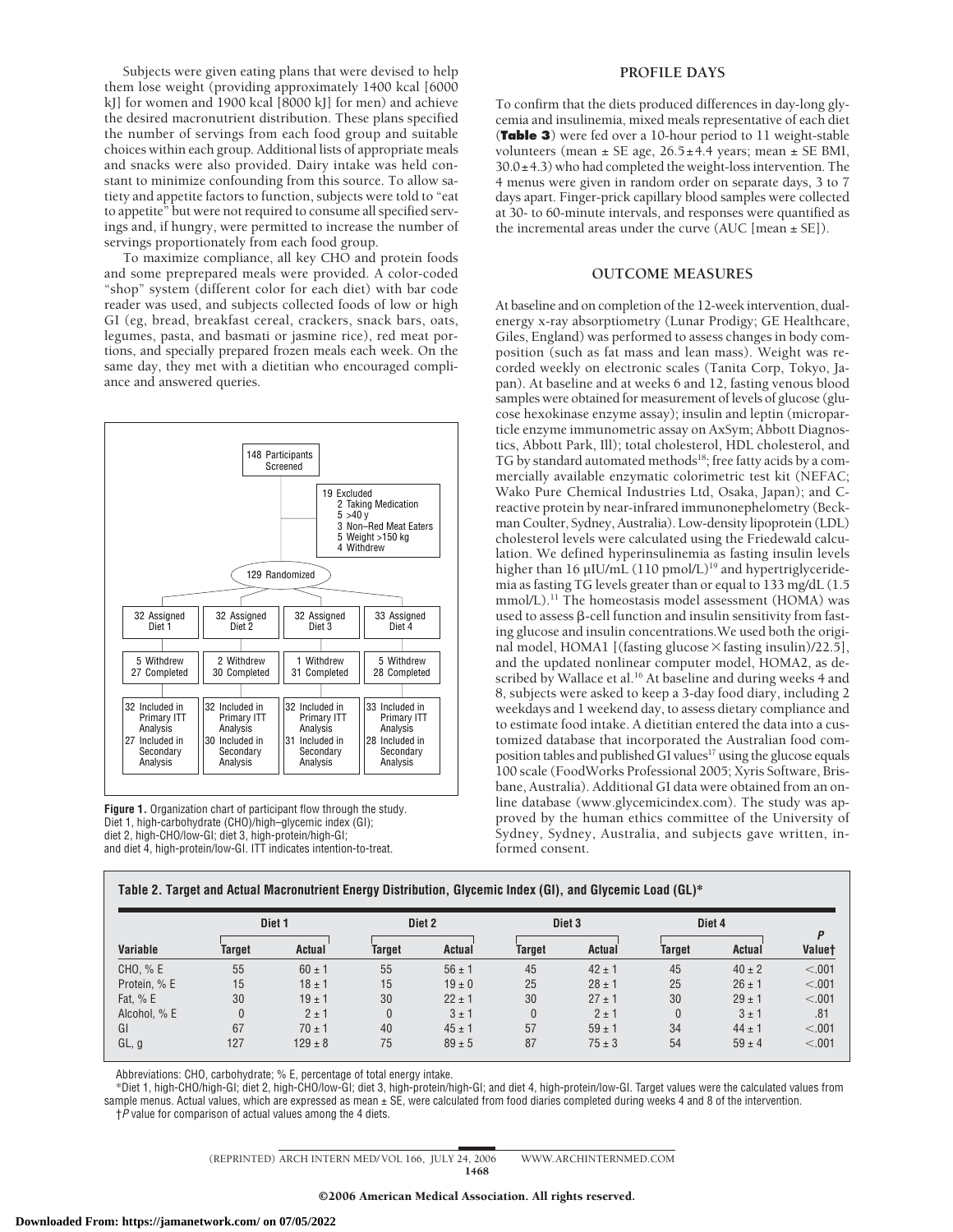Subjects were given eating plans that were devised to help them lose weight (providing approximately 1400 kcal [6000 kJ] for women and 1900 kcal [8000 kJ] for men) and achieve the desired macronutrient distribution. These plans specified the number of servings from each food group and suitable choices within each group. Additional lists of appropriate meals and snacks were also provided. Dairy intake was held constant to minimize confounding from this source. To allow satiety and appetite factors to function, subjects were told to "eat to appetite" but were not required to consume all specified servings and, if hungry, were permitted to increase the number of servings proportionately from each food group.

To maximize compliance, all key CHO and protein foods and some preprepared meals were provided. A color-coded "shop" system (different color for each diet) with bar code reader was used, and subjects collected foods of low or high GI (eg, bread, breakfast cereal, crackers, snack bars, oats, legumes, pasta, and basmati or jasmine rice), red meat portions, and specially prepared frozen meals each week. On the same day, they met with a dietitian who encouraged compliance and answered queries.



**Figure 1.** Organization chart of participant flow through the study. Diet 1, high-carbohydrate (CHO)/high–glycemic index (GI); diet 2, high-CHO/low-GI; diet 3, high-protein/high-GI; and diet 4, high-protein/low-GI. ITT indicates intention-to-treat.

## **PROFILE DAYS**

To confirm that the diets produced differences in day-long glycemia and insulinemia, mixed meals representative of each diet (**Table 3**) were fed over a 10-hour period to 11 weight-stable volunteers (mean  $\pm$  SE age, 26.5 $\pm$ 4.4 years; mean  $\pm$  SE BMI,  $30.0\pm4.3$ ) who had completed the weight-loss intervention. The 4 menus were given in random order on separate days, 3 to 7 days apart. Finger-prick capillary blood samples were collected at 30- to 60-minute intervals, and responses were quantified as the incremental areas under the curve (AUC [mean  $\pm$  SE]).

# **OUTCOME MEASURES**

At baseline and on completion of the 12-week intervention, dualenergy x-ray absorptiometry (Lunar Prodigy; GE Healthcare, Giles, England) was performed to assess changes in body composition (such as fat mass and lean mass). Weight was recorded weekly on electronic scales (Tanita Corp, Tokyo, Japan). At baseline and at weeks 6 and 12, fasting venous blood samples were obtained for measurement of levels of glucose (glucose hexokinase enzyme assay); insulin and leptin (microparticle enzyme immunometric assay on AxSym; Abbott Diagnostics, Abbott Park, Ill); total cholesterol, HDL cholesterol, and TG by standard automated methods<sup>18</sup>; free fatty acids by a commercially available enzymatic colorimetric test kit (NEFAC; Wako Pure Chemical Industries Ltd, Osaka, Japan); and Creactive protein by near-infrared immunonephelometry (Beckman Coulter, Sydney, Australia). Low-density lipoprotein (LDL) cholesterol levels were calculated using the Friedewald calculation. We defined hyperinsulinemia as fasting insulin levels higher than 16 µIU/mL (110 pmol/L)<sup>19</sup> and hypertriglyceridemia as fasting TG levels greater than or equal to 133 mg/dL (1.5 mmol/L).<sup>11</sup> The homeostasis model assessment (HOMA) was used to assess  $\beta$ -cell function and insulin sensitivity from fasting glucose and insulin concentrations.We used both the original model, HOMA1 [(fasting glucose × fasting insulin)/22.5], and the updated nonlinear computer model, HOMA2, as described by Wallace et al.<sup>16</sup> At baseline and during weeks 4 and 8, subjects were asked to keep a 3-day food diary, including 2 weekdays and 1 weekend day, to assess dietary compliance and to estimate food intake. A dietitian entered the data into a customized database that incorporated the Australian food composition tables and published GI values<sup>17</sup> using the glucose equals 100 scale (FoodWorks Professional 2005; Xyris Software, Brisbane, Australia). Additional GI data were obtained from an online database (www.glycemicindex.com). The study was approved by the human ethics committee of the University of Sydney, Sydney, Australia, and subjects gave written, informed consent.

|              |              | Diet <sub>1</sub> |          | Diet 2     |               | Diet <sub>3</sub> |        | Diet 4        | D             |
|--------------|--------------|-------------------|----------|------------|---------------|-------------------|--------|---------------|---------------|
| Variable     | Target       | <b>Actual</b>     | Target   | Actual     | <b>Target</b> | Actual            | Target | <b>Actual</b> | <b>Valuet</b> |
| CHO, % E     | 55           | $60 \pm 1$        | 55       | $56 \pm 1$ | 45            | $42 \pm 1$        | 45     | $40 \pm 2$    | < .001        |
| Protein, % E | 15           | $18 \pm 1$        | 15       | $19 \pm 0$ | 25            | $28 \pm 1$        | 25     | $26 \pm 1$    | < .001        |
| Fat, % E     | 30           | $19 \pm 1$        | 30       | $22 \pm 1$ | 30            | $27 \pm 1$        | 30     | $29 \pm 1$    | < .001        |
| Alcohol, % E | $\mathbf{0}$ | $2 \pm 1$         | $\theta$ | $3 \pm 1$  | 0             | $2 \pm 1$         | 0      | $3 \pm 1$     | .81           |
| GI           | 67           | $70 \pm 1$        | 40       | $45 \pm 1$ | 57            | $59 \pm 1$        | 34     | $44 \pm 1$    | < .001        |
| GL, g        | 127          | $129 \pm 8$       | 75       | $89 \pm 5$ | 87            | $75 \pm 3$        | 54     | $59 \pm 4$    | < .001        |

**Table 2. Target and Actual Macronutrient Energy Distribution, Glycemic Index (GI), and Glycemic Load (GL)\***

Abbreviations: CHO, carbohydrate; % E, percentage of total energy intake.

\*Diet 1, high-CHO/high-GI; diet 2, high-CHO/low-GI; diet 3, high-protein/high-GI; and diet 4, high-protein/low-GI. Target values were the calculated values from sample menus. Actual values, which are expressed as mean ± SE, were calculated from food diaries completed during weeks 4 and 8 of the intervention. †*P* value for comparison of actual values among the 4 diets.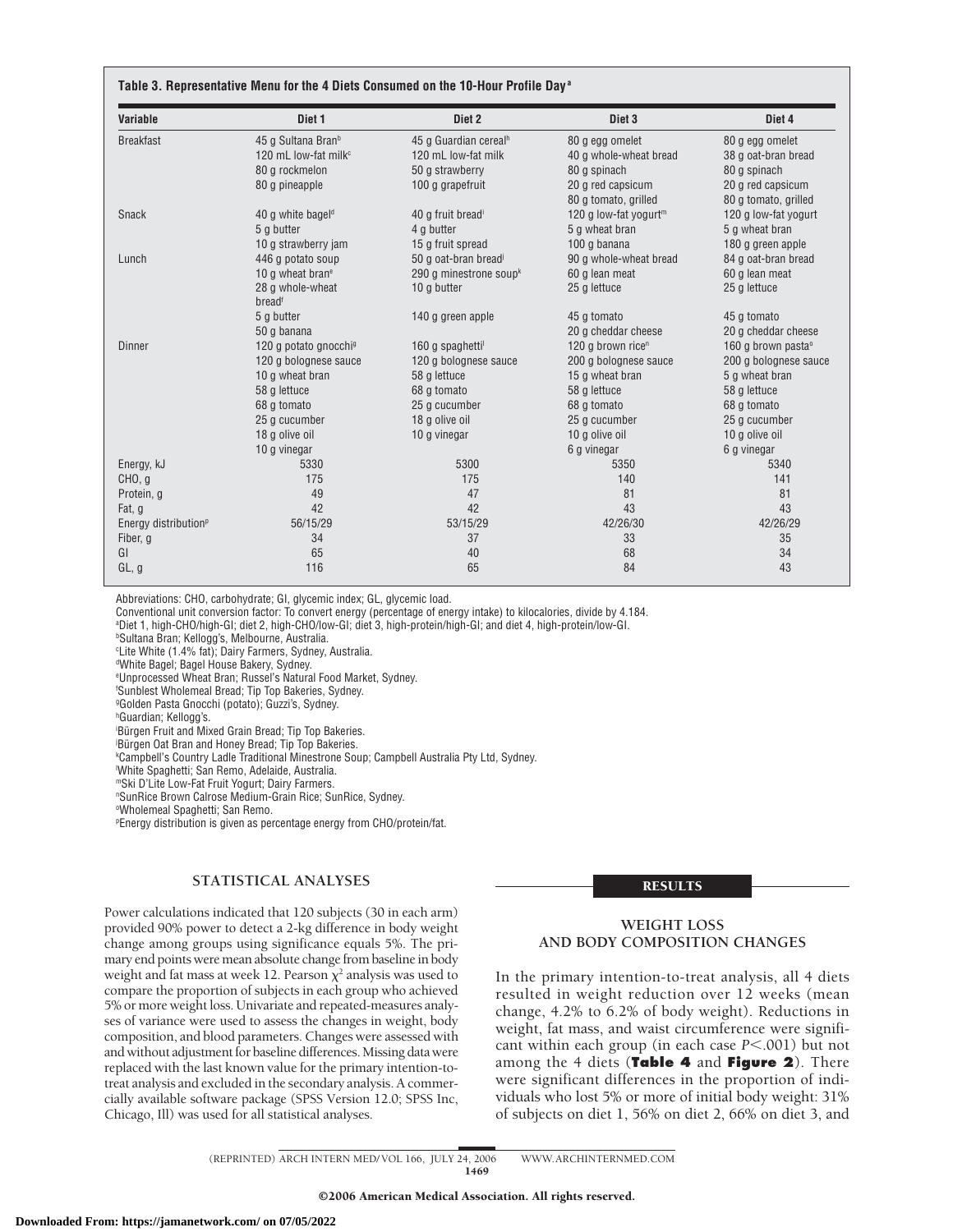| Variable                         | Diet 1                              | Diet 2                            | Diet <sub>3</sub>                 | Diet 4                         |
|----------------------------------|-------------------------------------|-----------------------------------|-----------------------------------|--------------------------------|
| <b>Breakfast</b>                 | 45 g Sultana Bran <sup>b</sup>      | 45 g Guardian cereal <sup>h</sup> | 80 g egg omelet                   | 80 g egg omelet                |
|                                  | 120 mL low-fat milk <sup>c</sup>    | 120 mL low-fat milk               | 40 g whole-wheat bread            | 38 g oat-bran bread            |
|                                  | 80 g rockmelon                      | 50 g strawberry                   | 80 g spinach                      | 80 g spinach                   |
|                                  | 80 g pineapple                      | 100 g grapefruit                  | 20 g red capsicum                 | 20 g red capsicum              |
|                                  |                                     |                                   | 80 g tomato, grilled              | 80 g tomato, grilled           |
| <b>Snack</b>                     | 40 g white bagel <sup>d</sup>       | 40 g fruit bread <sup>i</sup>     | 120 g low-fat yogurt <sup>m</sup> | 120 g low-fat yogurt           |
|                                  | 5 g butter                          | 4 g butter                        | 5 g wheat bran                    | 5 g wheat bran                 |
|                                  | 10 g strawberry jam                 | 15 g fruit spread                 | 100 g banana                      | 180 g green apple              |
| Lunch                            | 446 g potato soup                   | 50 g oat-bran bread <sup>j</sup>  | 90 g whole-wheat bread            | 84 g oat-bran bread            |
|                                  | 10 $\alpha$ wheat bran <sup>e</sup> | 290 g minestrone soup $k$         | 60 g lean meat                    | 60 a lean meat                 |
|                                  | 28 g whole-wheat<br>breadf          | 10 g butter                       | 25 g lettuce                      | 25 g lettuce                   |
|                                  | 5 g butter                          | 140 g green apple                 | 45 g tomato                       | 45 g tomato                    |
|                                  | 50 g banana                         |                                   | 20 g cheddar cheese               | 20 g cheddar cheese            |
| <b>Dinner</b>                    | 120 g potato gnocchi <sup>9</sup>   | 160 g spaghetti                   | 120 g brown rice <sup>n</sup>     | 160 g brown pasta <sup>o</sup> |
|                                  | 120 g bolognese sauce               | 120 g bolognese sauce             | 200 g bolognese sauce             | 200 g bolognese sauce          |
|                                  | 10 g wheat bran                     | 58 g lettuce                      | 15 g wheat bran                   | 5 g wheat bran                 |
|                                  | 58 g lettuce                        | 68 g tomato                       | 58 g lettuce                      | 58 g lettuce                   |
|                                  | 68 g tomato                         | 25 g cucumber                     | 68 g tomato                       | 68 g tomato                    |
|                                  | 25 g cucumber                       | 18 g olive oil                    | 25 g cucumber                     | 25 g cucumber                  |
|                                  | 18 g olive oil                      | 10 g vinegar                      | 10 g olive oil                    | 10 g olive oil                 |
|                                  | 10 g vinegar                        |                                   | 6 g vinegar                       | 6 g vinegar                    |
| Energy, kJ                       | 5330                                | 5300                              | 5350                              | 5340                           |
| CHO, q                           | 175                                 | 175                               | 140                               | 141                            |
| Protein, g                       | 49                                  | 47                                | 81                                | 81                             |
| Fat, g                           | 42                                  | 42                                | 43                                | 43                             |
| Energy distribution <sup>p</sup> | 56/15/29                            | 53/15/29                          | 42/26/30                          | 42/26/29                       |
| Fiber, g                         | 34                                  | 37                                | 33                                | 35                             |
| GI                               | 65                                  | 40                                | 68                                | 34                             |
| GL, g                            | 116                                 | 65                                | 84                                | 43                             |

Abbreviations: CHO, carbohydrate; GI, glycemic index; GL, glycemic load.

Conventional unit conversion factor: To convert energy (percentage of energy intake) to kilocalories, divide by 4.184.

a Diet 1, high-CHO/high-GI; diet 2, high-CHO/low-GI; diet 3, high-protein/high-GI; and diet 4, high-protein/low-GI.

b Sultana Bran; Kellogg's, Melbourne, Australia.

c Lite White (1.4% fat); Dairy Farmers, Sydney, Australia.

d White Bagel; Bagel House Bakery, Sydney.

e Unprocessed Wheat Bran; Russel's Natural Food Market, Sydney.

f Sunblest Wholemeal Bread; Tip Top Bakeries, Sydney.

g Golden Pasta Gnocchi (potato); Guzzi's, Sydney.

h Guardian; Kellogg's.

Bürgen Fruit and Mixed Grain Bread; Tip Top Bakeries.

j Bu¨rgen Oat Bran and Honey Bread; Tip Top Bakeries.

k Campbell's Country Ladle Traditional Minestrone Soup; Campbell Australia Pty Ltd, Sydney.

l White Spaghetti; San Remo, Adelaide, Australia.

mSki D'Lite Low-Fat Fruit Yogurt; Dairy Farmers.

n SunRice Brown Calrose Medium-Grain Rice; SunRice, Sydney.

o Wholemeal Spaghetti; San Remo.

p Energy distribution is given as percentage energy from CHO/protein/fat.

# **STATISTICAL ANALYSES**

Power calculations indicated that 120 subjects (30 in each arm) provided 90% power to detect a 2-kg difference in body weight change among groups using significance equals 5%. The primary end points were mean absolute change from baseline in body weight and fat mass at week 12. Pearson  $\chi^2$  analysis was used to compare the proportion of subjects in each group who achieved 5% or more weight loss. Univariate and repeated-measures analyses of variance were used to assess the changes in weight, body composition, and blood parameters. Changes were assessed with and without adjustment for baseline differences. Missing data were replaced with the last known value for the primary intention-totreat analysis and excluded in the secondary analysis. A commercially available software package (SPSS Version 12.0; SPSS Inc, Chicago, Ill) was used for all statistical analyses.

#### RESULTS

# **WEIGHT LOSS AND BODY COMPOSITION CHANGES**

In the primary intention-to-treat analysis, all 4 diets resulted in weight reduction over 12 weeks (mean change, 4.2% to 6.2% of body weight). Reductions in weight, fat mass, and waist circumference were significant within each group (in each case *P*<.001) but not among the 4 diets (**Table 4** and **Figure 2**). There were significant differences in the proportion of individuals who lost 5% or more of initial body weight: 31% of subjects on diet 1, 56% on diet 2, 66% on diet 3, and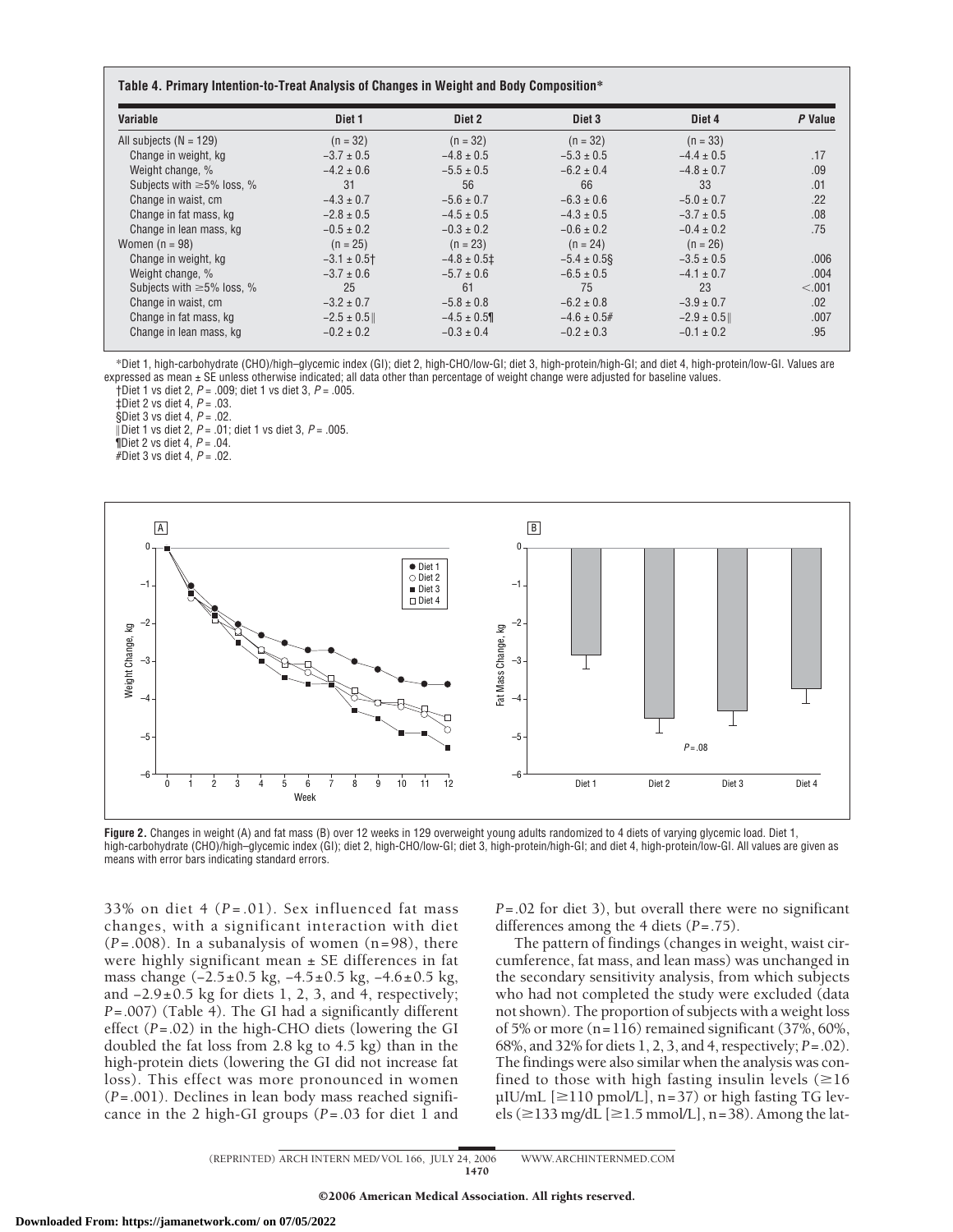|                          | Table 4. Primary Intention-to-Treat Analysis of Changes in Weight and Body Composition* |            |                   |            |       |  |  |  |  |
|--------------------------|-----------------------------------------------------------------------------------------|------------|-------------------|------------|-------|--|--|--|--|
| Variable                 | Diet 1                                                                                  | Diet 2     | Diet <sub>3</sub> | Diet 4     | Value |  |  |  |  |
| All cubiects $(N - 129)$ | $(n - 32)$                                                                              | $(n - 32)$ | $(n - 32)$        | $(n - 33)$ |       |  |  |  |  |

| All subjects $(N = 129)$        | $(n = 32)$     | $(n = 32)$       | $(n = 32)$       | $(n = 33)$     |         |
|---------------------------------|----------------|------------------|------------------|----------------|---------|
| Change in weight, kg            | $-3.7 \pm 0.5$ | $-4.8 \pm 0.5$   | $-5.3 \pm 0.5$   | $-4.4 \pm 0.5$ | .17     |
| Weight change, %                | $-4.2 \pm 0.6$ | $-5.5 \pm 0.5$   | $-6.2 \pm 0.4$   | $-4.8 \pm 0.7$ | .09     |
| Subjects with $\geq$ 5% loss, % | 31             | 56               | 66               | 33             | .01     |
| Change in waist, cm             | $-4.3 \pm 0.7$ | $-5.6 \pm 0.7$   | $-6.3 \pm 0.6$   | $-5.0 \pm 0.7$ | .22     |
| Change in fat mass, kg          | $-2.8 \pm 0.5$ | $-4.5 \pm 0.5$   | $-4.3 \pm 0.5$   | $-3.7 \pm 0.5$ | .08     |
| Change in lean mass, kg         | $-0.5 \pm 0.2$ | $-0.3 \pm 0.2$   | $-0.6 \pm 0.2$   | $-0.4 \pm 0.2$ | .75     |
| Women $(n = 98)$                | $(n = 25)$     | $(n = 23)$       | $(n = 24)$       | $(n = 26)$     |         |
| Change in weight, kg            | $-3.1 \pm 0.5$ | $-4.8 \pm 0.5$ ‡ | $-5.4 \pm 0.5$ § | $-3.5 \pm 0.5$ | .006    |
| Weight change, %                | $-3.7 \pm 0.6$ | $-5.7 \pm 0.6$   | $-6.5 \pm 0.5$   | $-4.1 \pm 0.7$ | .004    |
| Subjects with $\geq$ 5% loss, % | 25             | 61               | 75               | 23             | < 0.001 |
| Change in waist, cm             | $-3.2 \pm 0.7$ | $-5.8 \pm 0.8$   | $-6.2 \pm 0.8$   | $-3.9 \pm 0.7$ | .02     |
| Change in fat mass, kg          | $-2.5 \pm 0.5$ | $-4.5 \pm 0.5$   | $-4.6 \pm 0.5$ # | $-2.9 \pm 0.5$ | .007    |
| Change in lean mass, kg         | $-0.2 \pm 0.2$ | $-0.3 \pm 0.4$   | $-0.2 \pm 0.3$   | $-0.1 \pm 0.2$ | .95     |

\*Diet 1, high-carbohydrate (CHO)/high–glycemic index (GI); diet 2, high-CHO/low-GI; diet 3, high-protein/high-GI; and diet 4, high-protein/low-GI. Values are expressed as mean ± SE unless otherwise indicated; all data other than percentage of weight change were adjusted for baseline values. †Diet 1 vs diet 2, *P* = .009; diet 1 vs diet 3, *P* = .005.

‡Diet 2 vs diet 4, *P* = .03.

§Diet 3 vs diet 4, *P* = .02.

Diet 1 vs diet 2, *P* = .01; diet 1 vs diet 3, *P* = .005.

¶Diet 2 vs diet 4, *P* = .04.

#Diet 3 vs diet 4, *P* = .02.



**Figure 2.** Changes in weight (A) and fat mass (B) over 12 weeks in 129 overweight young adults randomized to 4 diets of varying glycemic load. Diet 1, high-carbohydrate (CHO)/high–glycemic index (GI); diet 2, high-CHO/low-GI; diet 3, high-protein/high-GI; and diet 4, high-protein/low-GI. All values are given as means with error bars indicating standard errors.

33% on diet 4  $(P=.01)$ . Sex influenced fat mass changes, with a significant interaction with diet (*P*=.008). In a subanalysis of women (n=98), there were highly significant mean  $\pm$  SE differences in fat mass change (−2.5±0.5 kg, −4.5±0.5 kg, −4.6±0.5 kg, and  $-2.9\pm0.5$  kg for diets 1, 2, 3, and 4, respectively; *P*=.007) (Table 4). The GI had a significantly different effect (*P*=.02) in the high-CHO diets (lowering the GI doubled the fat loss from 2.8 kg to 4.5 kg) than in the high-protein diets (lowering the GI did not increase fat loss). This effect was more pronounced in women (*P*=.001). Declines in lean body mass reached significance in the 2 high-GI groups (*P*=.03 for diet 1 and

*P*=.02 for diet 3), but overall there were no significant differences among the 4 diets (*P*=.75).

The pattern of findings (changes in weight, waist circumference, fat mass, and lean mass) was unchanged in the secondary sensitivity analysis, from which subjects who had not completed the study were excluded (data not shown). The proportion of subjects with a weight loss of 5% or more (n=116) remained significant (37%, 60%, 68%, and 32% for diets 1, 2, 3, and 4, respectively; *P*=.02). The findings were also similar when the analysis was confined to those with high fasting insulin levels  $(\geq 16)$ µIU/mL  $[\geq 110$  pmol/L], n=37) or high fasting TG levels ( $\geq$ 133 mg/dL [ $\geq$ 1.5 mmol/L], n=38). Among the lat-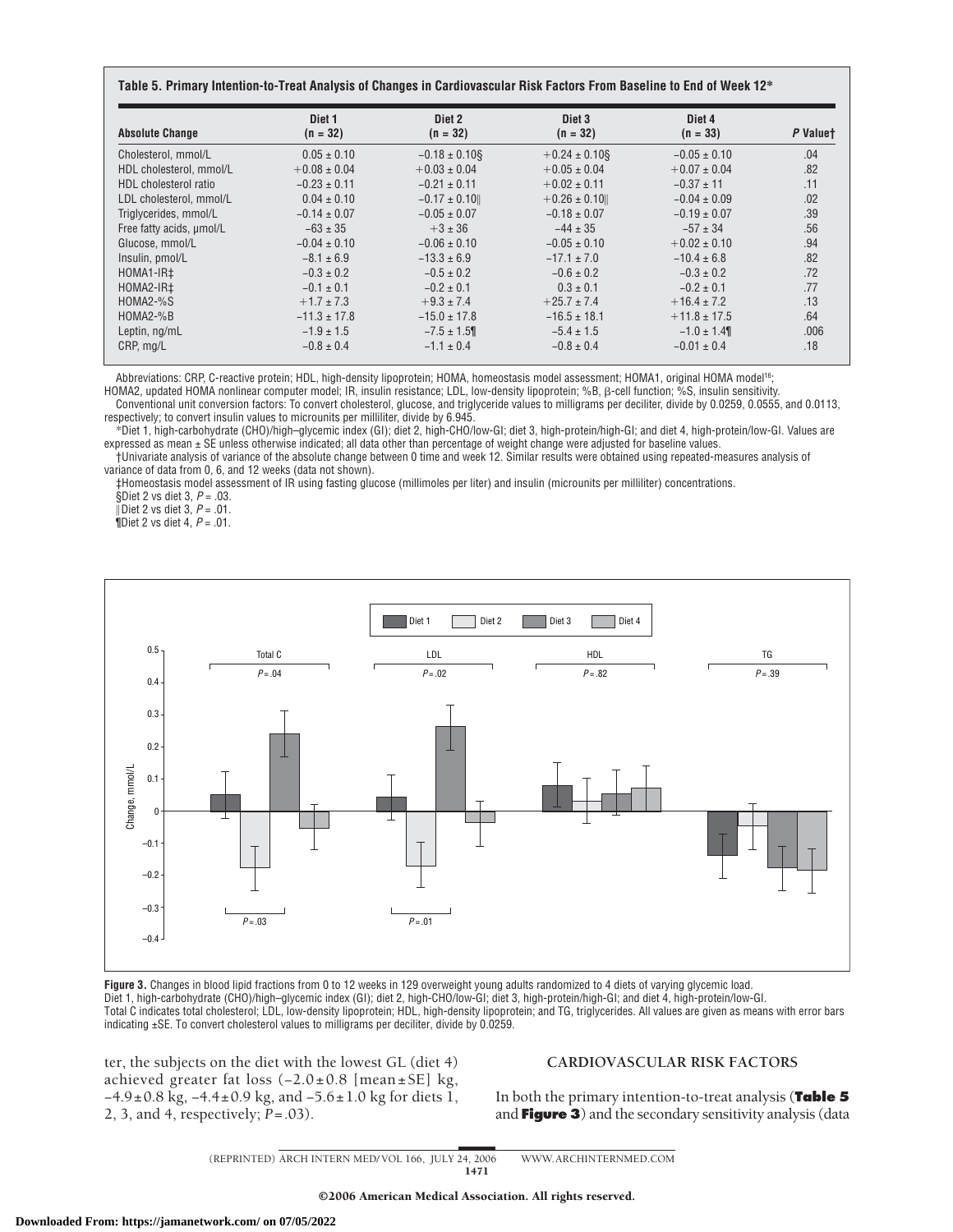| Table 5. Primary Intention-to-Treat Analysis of Changes in Cardiovascular Risk Factors From Baseline to End of Week 12* |  |
|-------------------------------------------------------------------------------------------------------------------------|--|
|-------------------------------------------------------------------------------------------------------------------------|--|

| <b>Absolute Change</b>   | Diet 1<br>$(n = 32)$ | Diet 2<br>$(n = 32)$ | Diet 3<br>$(n = 32)$ | Diet 4<br>$(n = 33)$ | P Valuet |
|--------------------------|----------------------|----------------------|----------------------|----------------------|----------|
| Cholesterol, mmol/L      | $0.05 \pm 0.10$      | $-0.18 \pm 0.10$ §   | $+0.24 \pm 0.10$ §   | $-0.05 \pm 0.10$     | .04      |
| HDL cholesterol, mmol/L  | $+0.08 \pm 0.04$     | $+0.03 \pm 0.04$     | $+0.05 \pm 0.04$     | $+0.07 \pm 0.04$     | .82      |
| HDL cholesterol ratio    | $-0.23 \pm 0.11$     | $-0.21 \pm 0.11$     | $+0.02 \pm 0.11$     | $-0.37 \pm 11$       | .11      |
| LDL cholesterol. mmol/L  | $0.04 \pm 0.10$      | $-0.17 \pm 0.10$     | $+0.26 \pm 0.10$     | $-0.04 \pm 0.09$     | .02      |
| Triglycerides, mmol/L    | $-0.14 \pm 0.07$     | $-0.05 \pm 0.07$     | $-0.18 \pm 0.07$     | $-0.19 \pm 0.07$     | .39      |
| Free fatty acids, umol/L | $-63 \pm 35$         | $+3 \pm 36$          | $-44 \pm 35$         | $-57 \pm 34$         | .56      |
| Glucose, mmol/L          | $-0.04 \pm 0.10$     | $-0.06 \pm 0.10$     | $-0.05 \pm 0.10$     | $+0.02 \pm 0.10$     | .94      |
| Insulin, pmol/L          | $-8.1 \pm 6.9$       | $-13.3 \pm 6.9$      | $-17.1 \pm 7.0$      | $-10.4 \pm 6.8$      | .82      |
| HOMA1-IR‡                | $-0.3 \pm 0.2$       | $-0.5 \pm 0.2$       | $-0.6 \pm 0.2$       | $-0.3 \pm 0.2$       | .72      |
| HOMA2-IR‡                | $-0.1 \pm 0.1$       | $-0.2 \pm 0.1$       | $0.3 \pm 0.1$        | $-0.2 \pm 0.1$       | .77      |
| HOMA2-%S                 | $+1.7 \pm 7.3$       | $+9.3 \pm 7.4$       | $+25.7 \pm 7.4$      | $+16.4 \pm 7.2$      | .13      |
| HOMA2-%B                 | $-11.3 \pm 17.8$     | $-15.0 \pm 17.8$     | $-16.5 \pm 18.1$     | $+11.8 \pm 17.5$     | .64      |
| Leptin, ng/mL            | $-1.9 \pm 1.5$       | $-7.5 \pm 1.5$       | $-5.4 \pm 1.5$       | $-1.0 \pm 1.4$       | .006     |
| CRP, mg/L                | $-0.8 \pm 0.4$       | $-1.1 \pm 0.4$       | $-0.8 \pm 0.4$       | $-0.01 \pm 0.4$      | .18      |

Abbreviations: CRP, C-reactive protein; HDL, high-density lipoprotein; HOMA, homeostasis model assessment; HOMA1, original HOMA model<sup>16</sup>;

HOMA2, updated HOMA nonlinear computer model; IR, insulin resistance; LDL, low-density lipoprotein; %B, ß-cell function; %S, insulin sensitivity.

Conventional unit conversion factors: To convert cholesterol, glucose, and triglyceride values to milligrams per deciliter, divide by 0.0259, 0.0555, and 0.0113, respectively; to convert insulin values to microunits per milliliter, divide by 6.945.

\*Diet 1, high-carbohydrate (CHO)/high–glycemic index (GI); diet 2, high-CHO/low-GI; diet 3, high-protein/high-GI; and diet 4, high-protein/low-GI. Values are expressed as mean ± SE unless otherwise indicated; all data other than percentage of weight change were adjusted for baseline values.

†Univariate analysis of variance of the absolute change between 0 time and week 12. Similar results were obtained using repeated-measures analysis of variance of data from 0, 6, and 12 weeks (data not shown).

‡Homeostasis model assessment of IR using fasting glucose (millimoles per liter) and insulin (microunits per milliliter) concentrations.

§Diet 2 vs diet 3, *P* = .03.

Diet 2 vs diet 3, *P* = .01.

¶Diet 2 vs diet 4, *P* = .01.



**Figure 3.** Changes in blood lipid fractions from 0 to 12 weeks in 129 overweight young adults randomized to 4 diets of varying glycemic load. Diet 1, high-carbohydrate (CHO)/high–glycemic index (GI); diet 2, high-CHO/low-GI; diet 3, high-protein/high-GI; and diet 4, high-protein/low-GI. Total C indicates total cholesterol; LDL, low-density lipoprotein; HDL, high-density lipoprotein; and TG, triglycerides. All values are given as means with error bars indicating ±SE. To convert cholesterol values to milligrams per deciliter, divide by 0.0259.

ter, the subjects on the diet with the lowest GL (diet 4) achieved greater fat loss (−2.0±0.8 [mean±SE] kg, −4.9±0.8 kg, −4.4±0.9 kg, and −5.6±1.0 kg for diets 1, 2, 3, and 4, respectively;  $\overline{P}$ =.03).

# **CARDIOVASCULAR RISK FACTORS**

In both the primary intention-to-treat analysis (**Table 5** and **Figure 3**) and the secondary sensitivity analysis (data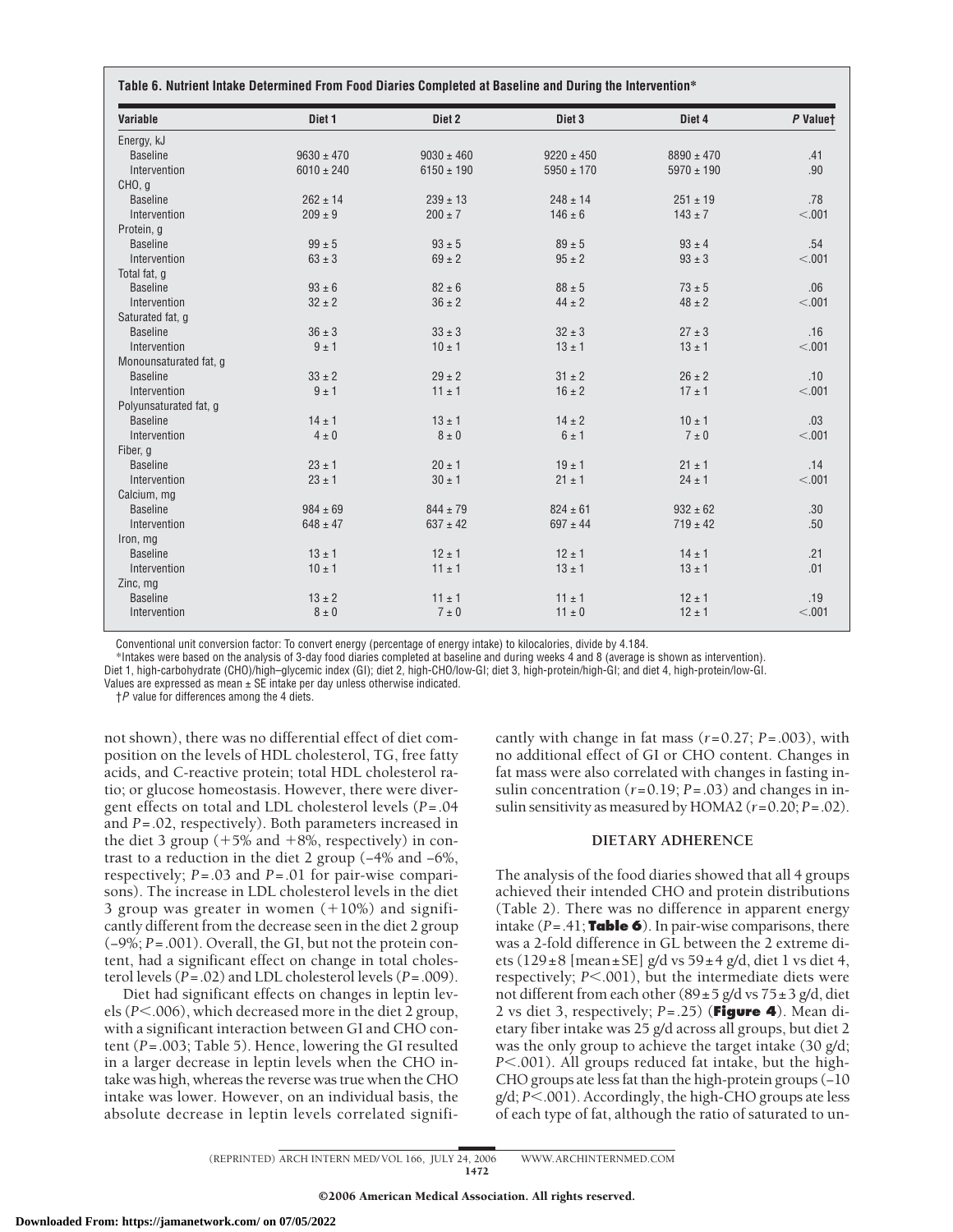| <b>Variable</b>        | Diet <sub>1</sub> | Diet 2         | Diet <sub>3</sub> | Diet 4         | P Valuet |
|------------------------|-------------------|----------------|-------------------|----------------|----------|
| Energy, kJ             |                   |                |                   |                |          |
| <b>Baseline</b>        | $9630 \pm 470$    | $9030 \pm 460$ | $9220 \pm 450$    | $8890 \pm 470$ | .41      |
| Intervention           | $6010 \pm 240$    | $6150 \pm 190$ | $5950 \pm 170$    | $5970 \pm 190$ | .90      |
| CHO, g                 |                   |                |                   |                |          |
| <b>Baseline</b>        | $262 \pm 14$      | $239 \pm 13$   | $248 \pm 14$      | $251 \pm 19$   | .78      |
| Intervention           | $209 \pm 9$       | $200 \pm 7$    | $146 \pm 6$       | $143 \pm 7$    | < .001   |
| Protein, q             |                   |                |                   |                |          |
| <b>Baseline</b>        | $99 \pm 5$        | $93 \pm 5$     | $89 \pm 5$        | $93 \pm 4$     | .54      |
| Intervention           | $63 \pm 3$        | $69 \pm 2$     | $95 \pm 2$        | $93 \pm 3$     | < .001   |
| Total fat, q           |                   |                |                   |                |          |
| <b>Baseline</b>        | $93 \pm 6$        | $82 \pm 6$     | $88 \pm 5$        | $73 \pm 5$     | .06      |
| Intervention           | $32 \pm 2$        | $36 \pm 2$     | $44 \pm 2$        | $48 \pm 2$     | < .001   |
| Saturated fat, q       |                   |                |                   |                |          |
| <b>Baseline</b>        | $36 \pm 3$        | $33 \pm 3$     | $32 \pm 3$        | $27 \pm 3$     | .16      |
| Intervention           | $9 \pm 1$         | $10 \pm 1$     | $13 \pm 1$        | $13 \pm 1$     | < .001   |
| Monounsaturated fat, g |                   |                |                   |                |          |
| <b>Baseline</b>        | $33 \pm 2$        | $29 \pm 2$     | $31 \pm 2$        | $26 \pm 2$     | .10      |
| Intervention           | $9 \pm 1$         | 11 ± 1         | $16 \pm 2$        | $17 \pm 1$     | < .001   |
| Polyunsaturated fat, g |                   |                |                   |                |          |
| <b>Baseline</b>        | $14 \pm 1$        | $13 \pm 1$     | $14 \pm 2$        | $10 + 1$       | .03      |
| Intervention           | $4 \pm 0$         | $8 \pm 0$      | $6 \pm 1$         | $7 \pm 0$      | < .001   |
| Fiber, g               |                   |                |                   |                |          |
| <b>Baseline</b>        | $23 \pm 1$        | $20 \pm 1$     | $19 \pm 1$        | $21 \pm 1$     | .14      |
| Intervention           | $23 \pm 1$        | $30 \pm 1$     | $21 \pm 1$        | $24 \pm 1$     | < .001   |
| Calcium, mg            |                   |                |                   |                |          |
| <b>Baseline</b>        | $984 \pm 69$      | $844 \pm 79$   | $824 \pm 61$      | $932 \pm 62$   | .30      |
| Intervention           | $648 \pm 47$      | $637 \pm 42$   | $697 \pm 44$      | $719 \pm 42$   | .50      |
| Iron, mg               |                   |                |                   |                |          |
| <b>Baseline</b>        | $13 \pm 1$        | $12 \pm 1$     | $12 \pm 1$        | $14 \pm 1$     | .21      |
| Intervention           | $10 \pm 1$        | $11 \pm 1$     | $13 \pm 1$        | $13 \pm 1$     | .01      |
| Zinc, mg               |                   |                |                   |                |          |
| <b>Baseline</b>        | $13 \pm 2$        | $11 \pm 1$     | $11 \pm 1$        | $12 \pm 1$     | .19      |
| Intervention           | $8 \pm 0$         | $7 \pm 0$      | $11 \pm 0$        | $12 \pm 1$     | < .001   |

Conventional unit conversion factor: To convert energy (percentage of energy intake) to kilocalories, divide by 4.184.

\*Intakes were based on the analysis of 3-day food diaries completed at baseline and during weeks 4 and 8 (average is shown as intervention).

Diet 1, high-carbohydrate (CHO)/high–glycemic index (GI); diet 2, high-CHO/low-GI; diet 3, high-protein/high-GI; and diet 4, high-protein/low-GI.

Values are expressed as mean ± SE intake per day unless otherwise indicated.

†*P* value for differences among the 4 diets.

not shown), there was no differential effect of diet composition on the levels of HDL cholesterol, TG, free fatty acids, and C-reactive protein; total HDL cholesterol ratio; or glucose homeostasis. However, there were divergent effects on total and LDL cholesterol levels (*P*=.04 and *P*=.02, respectively). Both parameters increased in the diet 3 group  $(+5\% \text{ and } +8\% \text{, respectively})$  in contrast to a reduction in the diet 2 group (−4% and −6%, respectively; *P*=.03 and *P*=.01 for pair-wise comparisons). The increase in LDL cholesterol levels in the diet 3 group was greater in women  $(+10%)$  and significantly different from the decrease seen in the diet 2 group (−9%; *P*=.001). Overall, the GI, but not the protein content, had a significant effect on change in total cholesterol levels (*P*=.02) and LDL cholesterol levels (*P*=.009).

Diet had significant effects on changes in leptin levels (*P*<.006), which decreased more in the diet 2 group, with a significant interaction between GI and CHO content (*P*=.003; Table 5). Hence, lowering the GI resulted in a larger decrease in leptin levels when the CHO intake was high, whereas the reverse was true when the CHO intake was lower. However, on an individual basis, the absolute decrease in leptin levels correlated significantly with change in fat mass (*r*=0.27; *P*=.003), with no additional effect of GI or CHO content. Changes in fat mass were also correlated with changes in fasting insulin concentration (*r*=0.19; *P*=.03) and changes in insulin sensitivity as measured by HOMA2 (*r*=0.20; *P*=.02).

## **DIETARY ADHERENCE**

The analysis of the food diaries showed that all 4 groups achieved their intended CHO and protein distributions (Table 2). There was no difference in apparent energy intake (*P*=.41; **Table 6**). In pair-wise comparisons, there was a 2-fold difference in GL between the 2 extreme diets (129 $\pm$ 8 [mean $\pm$ SE] g/d vs 59 $\pm$ 4 g/d, diet 1 vs diet 4, respectively; *P*<.001), but the intermediate diets were not different from each other  $(89 \pm 5 \text{ g/d vs } 75 \pm 3 \text{ g/d}, \text{diet}$ 2 vs diet 3, respectively; *P*=.25) (**Figure 4**). Mean dietary fiber intake was 25 g/d across all groups, but diet 2 was the only group to achieve the target intake (30 g/d; *P* $<$ .001). All groups reduced fat intake, but the high-CHO groups ate less fat than the high-protein groups (−10 g/d;  $P$ <.001). Accordingly, the high-CHO groups ate less of each type of fat, although the ratio of saturated to un-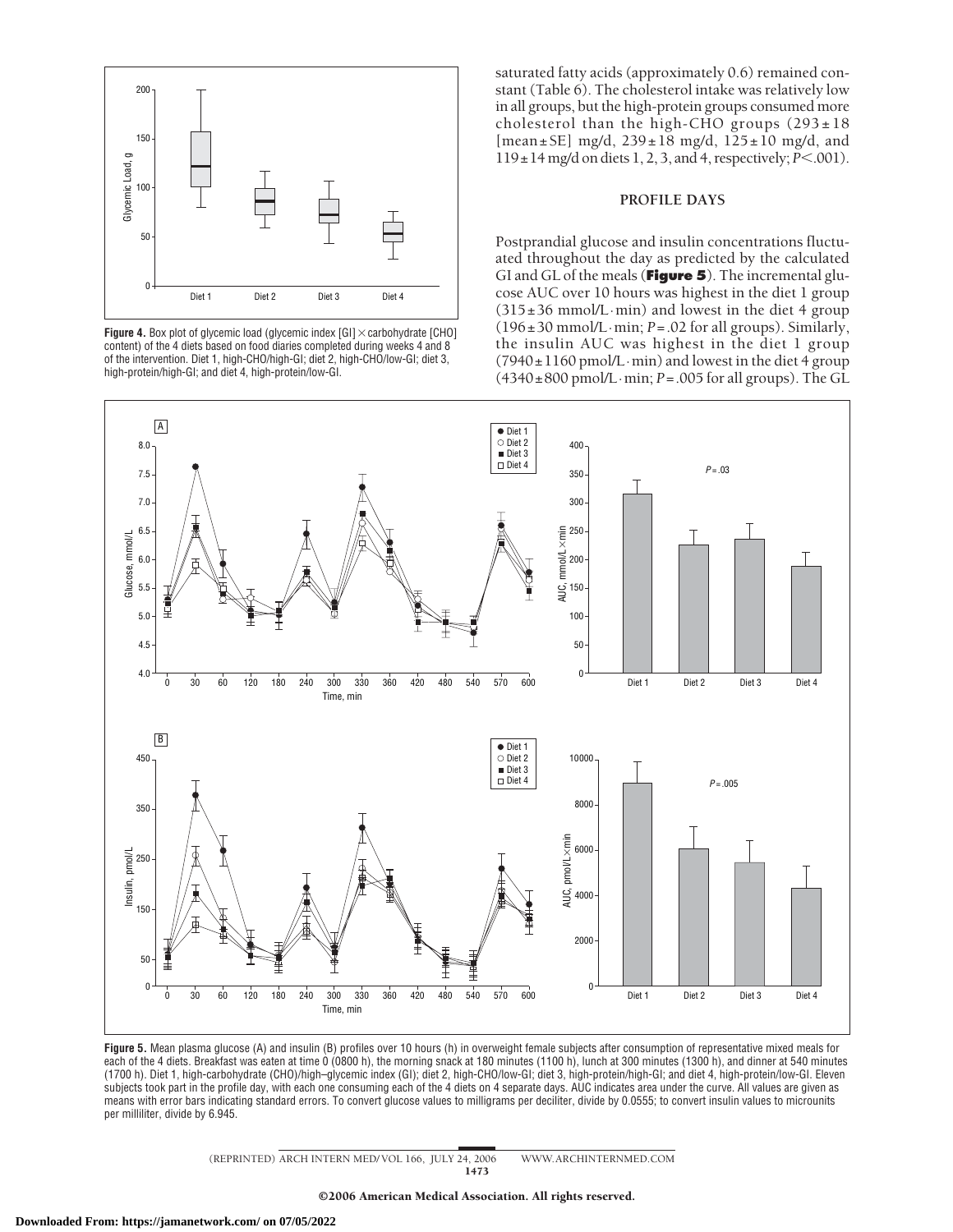

**Figure 4.** Box plot of glycemic load (glycemic index  $[G1] \times$  carbohydrate  $[CHO]$ content) of the 4 diets based on food diaries completed during weeks 4 and 8 of the intervention. Diet 1, high-CHO/high-GI; diet 2, high-CHO/low-GI; diet 3, high-protein/high-GI; and diet 4, high-protein/low-GI.

saturated fatty acids (approximately 0.6) remained constant (Table 6). The cholesterol intake was relatively low in all groups, but the high-protein groups consumed more cholesterol than the high-CHO groups  $(293 \pm 18)$ [mean±SE] mg/d, 239±18 mg/d, 125±10 mg/d, and  $119 \pm 14$  mg/d on diets 1, 2, 3, and 4, respectively; *P*<.001).

# **PROFILE DAYS**

Postprandial glucose and insulin concentrations fluctuated throughout the day as predicted by the calculated GI and GL of the meals (**Figure 5**). The incremental glucose AUC over 10 hours was highest in the diet 1 group  $(315±36$  mmol/L·min) and lowest in the diet 4 group  $(196\pm30 \text{ mmol/L}\cdot\text{min}; P = .02 \text{ for all groups})$ . Similarly, the insulin AUC was highest in the diet 1 group  $(7940 \pm 1160 \text{ pmol/L} \cdot \text{min})$  and lowest in the diet 4 group  $(4340 \pm 800 \text{ pmol/L} \cdot \text{min}; P = .005 \text{ for all groups}).$  The GL



**Figure 5.** Mean plasma glucose (A) and insulin (B) profiles over 10 hours (h) in overweight female subjects after consumption of representative mixed meals for each of the 4 diets. Breakfast was eaten at time 0 (0800 h), the morning snack at 180 minutes (1100 h), lunch at 300 minutes (1300 h), and dinner at 540 minutes (1700 h). Diet 1, high-carbohydrate (CHO)/high–glycemic index (GI); diet 2, high-CHO/low-GI; diet 3, high-protein/high-GI; and diet 4, high-protein/low-GI. Eleven subjects took part in the profile day, with each one consuming each of the 4 diets on 4 separate days. AUC indicates area under the curve. All values are given as means with error bars indicating standard errors. To convert glucose values to milligrams per deciliter, divide by 0.0555; to convert insulin values to microunits per milliliter, divide by 6.945.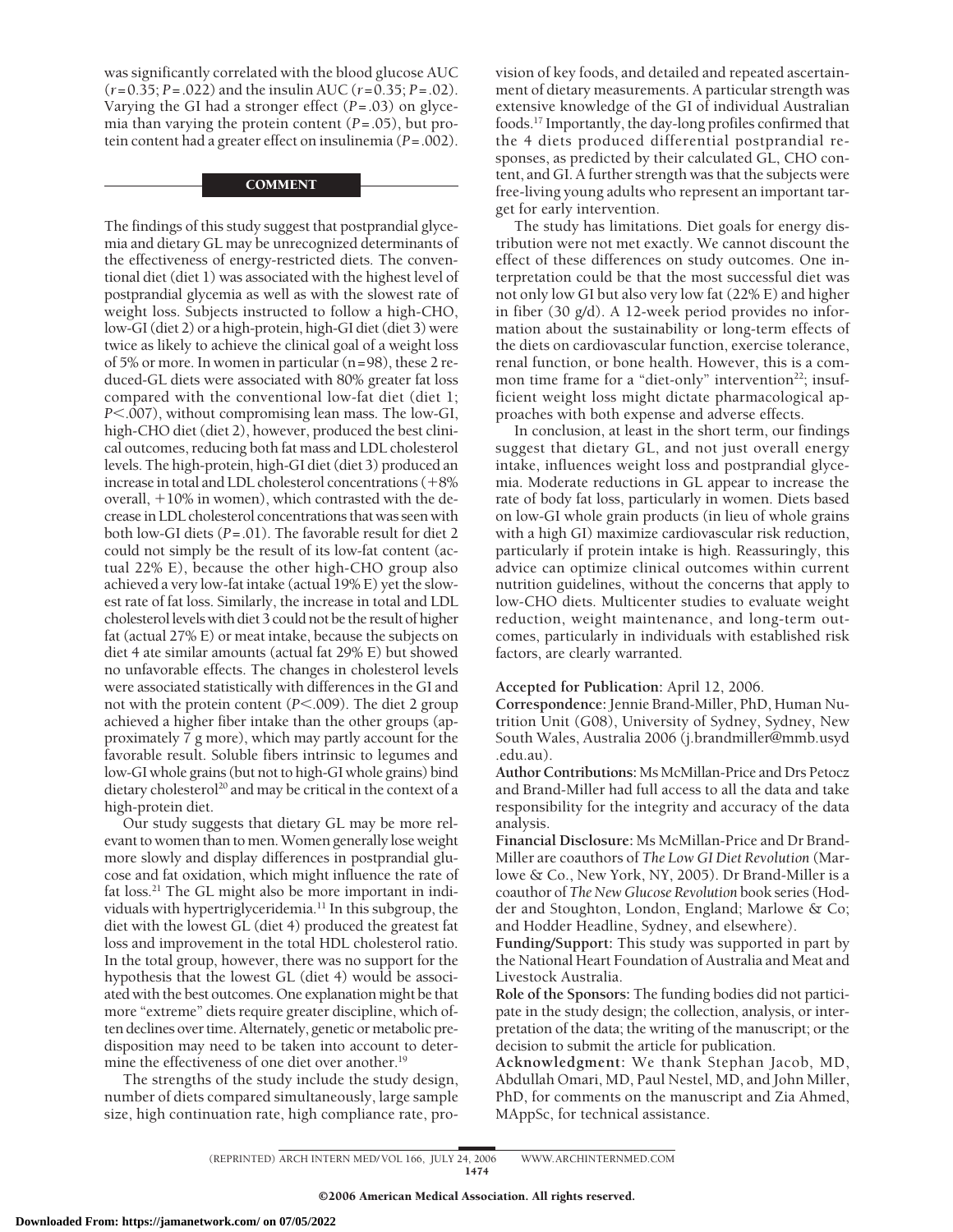was significantly correlated with the blood glucose AUC (*r*=0.35; *P*=.022) and the insulin AUC (*r*=0.35; *P*=.02). Varying the GI had a stronger effect (*P*=.03) on glycemia than varying the protein content (*P*=.05), but protein content had a greater effect on insulinemia (*P*=.002).

# **COMMENT**

The findings of this study suggest that postprandial glycemia and dietary GL may be unrecognized determinants of the effectiveness of energy-restricted diets. The conventional diet (diet 1) was associated with the highest level of postprandial glycemia as well as with the slowest rate of weight loss. Subjects instructed to follow a high-CHO, low-GI (diet 2) or a high-protein, high-GI diet (diet 3) were twice as likely to achieve the clinical goal of a weight loss of 5% or more. In women in particular (n=98), these 2 reduced-GL diets were associated with 80% greater fat loss compared with the conventional low-fat diet (diet 1; *P*.007), without compromising lean mass. The low-GI, high-CHO diet (diet 2), however, produced the best clinical outcomes, reducing both fat mass and LDL cholesterol levels. The high-protein, high-GI diet (diet 3) produced an increase in total and LDL cholesterol concentrations (+8% overall, +10% in women), which contrasted with the decrease in LDL cholesterol concentrations that was seen with both low-GI diets (*P*=.01). The favorable result for diet 2 could not simply be the result of its low-fat content (actual 22% E), because the other high-CHO group also achieved a very low-fat intake (actual 19% E) yet the slowest rate of fat loss. Similarly, the increase in total and LDL cholesterol levels with diet 3 could not be the result of higher fat (actual 27% E) or meat intake, because the subjects on diet 4 ate similar amounts (actual fat 29% E) but showed no unfavorable effects. The changes in cholesterol levels were associated statistically with differences in the GI and not with the protein content (*P*<.009). The diet 2 group achieved a higher fiber intake than the other groups (approximately 7 g more), which may partly account for the favorable result. Soluble fibers intrinsic to legumes and low-GI whole grains (but not to high-GI whole grains) bind dietary cholesterol<sup>20</sup> and may be critical in the context of a high-protein diet.

Our study suggests that dietary GL may be more relevant to women than to men. Women generally lose weight more slowly and display differences in postprandial glucose and fat oxidation, which might influence the rate of fat loss.<sup>21</sup> The GL might also be more important in individuals with hypertriglyceridemia.<sup>11</sup> In this subgroup, the diet with the lowest GL (diet 4) produced the greatest fat loss and improvement in the total HDL cholesterol ratio. In the total group, however, there was no support for the hypothesis that the lowest GL (diet 4) would be associated with the best outcomes. One explanation might be that more "extreme" diets require greater discipline, which often declines over time. Alternately, genetic or metabolic predisposition may need to be taken into account to determine the effectiveness of one diet over another.<sup>19</sup>

The strengths of the study include the study design, number of diets compared simultaneously, large sample size, high continuation rate, high compliance rate, provision of key foods, and detailed and repeated ascertainment of dietary measurements. A particular strength was extensive knowledge of the GI of individual Australian foods.17 Importantly, the day-long profiles confirmed that the 4 diets produced differential postprandial responses, as predicted by their calculated GL, CHO content, and GI. A further strength was that the subjects were free-living young adults who represent an important target for early intervention.

The study has limitations. Diet goals for energy distribution were not met exactly. We cannot discount the effect of these differences on study outcomes. One interpretation could be that the most successful diet was not only low GI but also very low fat (22% E) and higher in fiber (30 g/d). A 12-week period provides no information about the sustainability or long-term effects of the diets on cardiovascular function, exercise tolerance, renal function, or bone health. However, this is a common time frame for a "diet-only" intervention<sup>22</sup>; insufficient weight loss might dictate pharmacological approaches with both expense and adverse effects.

In conclusion, at least in the short term, our findings suggest that dietary GL, and not just overall energy intake, influences weight loss and postprandial glycemia. Moderate reductions in GL appear to increase the rate of body fat loss, particularly in women. Diets based on low-GI whole grain products (in lieu of whole grains with a high GI) maximize cardiovascular risk reduction, particularly if protein intake is high. Reassuringly, this advice can optimize clinical outcomes within current nutrition guidelines, without the concerns that apply to low-CHO diets. Multicenter studies to evaluate weight reduction, weight maintenance, and long-term outcomes, particularly in individuals with established risk factors, are clearly warranted.

#### **Accepted for Publication:** April 12, 2006.

**Correspondence:** Jennie Brand-Miller, PhD, Human Nutrition Unit (G08), University of Sydney, Sydney, New South Wales, Australia 2006 (j.brandmiller@mmb.usyd .edu.au).

**Author Contributions:** Ms McMillan-Price and Drs Petocz and Brand-Miller had full access to all the data and take responsibility for the integrity and accuracy of the data analysis.

**Financial Disclosure:** Ms McMillan-Price and Dr Brand-Miller are coauthors of *The Low GI Diet Revolution* (Marlowe & Co., New York, NY, 2005). Dr Brand-Miller is a coauthor of *The New Glucose Revolution* book series (Hodder and Stoughton, London, England; Marlowe & Co; and Hodder Headline, Sydney, and elsewhere).

**Funding/Support:** This study was supported in part by the National Heart Foundation of Australia and Meat and Livestock Australia.

**Role of the Sponsors:** The funding bodies did not participate in the study design; the collection, analysis, or interpretation of the data; the writing of the manuscript; or the decision to submit the article for publication.

**Acknowledgment:** We thank Stephan Jacob, MD, Abdullah Omari, MD, Paul Nestel, MD, and John Miller, PhD, for comments on the manuscript and Zia Ahmed, MAppSc, for technical assistance.

(REPRINTED) ARCH INTERN MED/ VOL 166, JULY 24, 2006 WWW.ARCHINTERNMED.COM 1474